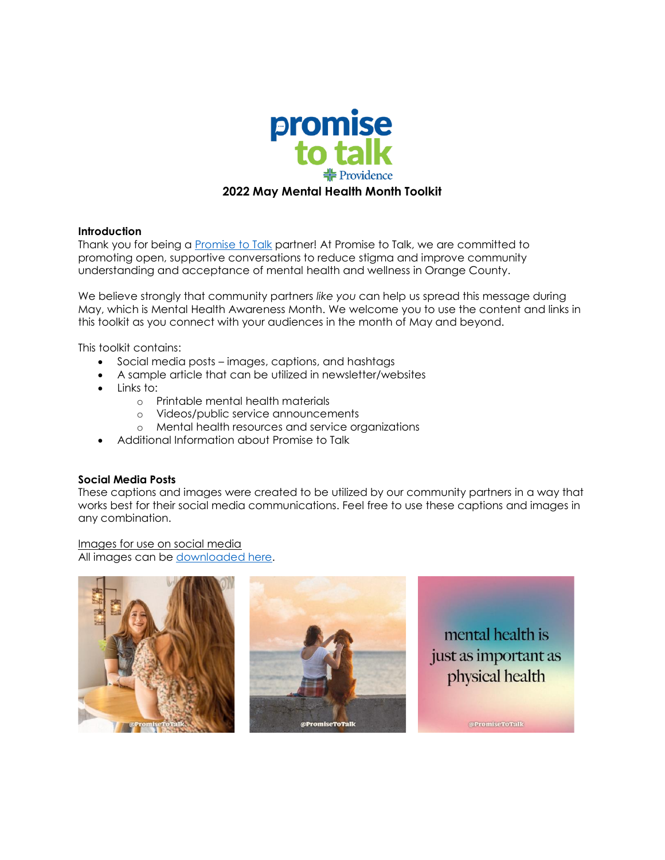

### **Introduction**

Thank you for being a **Promise to Talk partner!** At [Promise to Talk](https://www.promisetotalk.org/), we are committed to promoting open, supportive conversations to reduce stigma and improve community understanding and acceptance of mental health and wellness in Orange County.

We believe strongly that community partners *like you* can help us spread this message during May, which is Mental Health Awareness Month. We welcome you to use the content and links in this toolkit as you connect with your audiences in the month of May and beyond.

This toolkit contains:

- Social media posts images, captions, and hashtags
- A sample article that can be utilized in newsletter/websites
- Links to:
	- o Printable mental health materials
	- o Videos/public service announcements
	- o Mental health resources and service organizations
- Additional Information about Promise to Talk

# **Social Media Posts**

These captions and images were created to be utilized by our community partners in a way that works best for their social media communications. Feel free to use these captions and images in any combination.

Images for use on social media

All images can be [downloaded here.](https://drive.google.com/drive/folders/1dzlA1O6F6Wa9CiP0IgYtkWgXTat87Y8I)

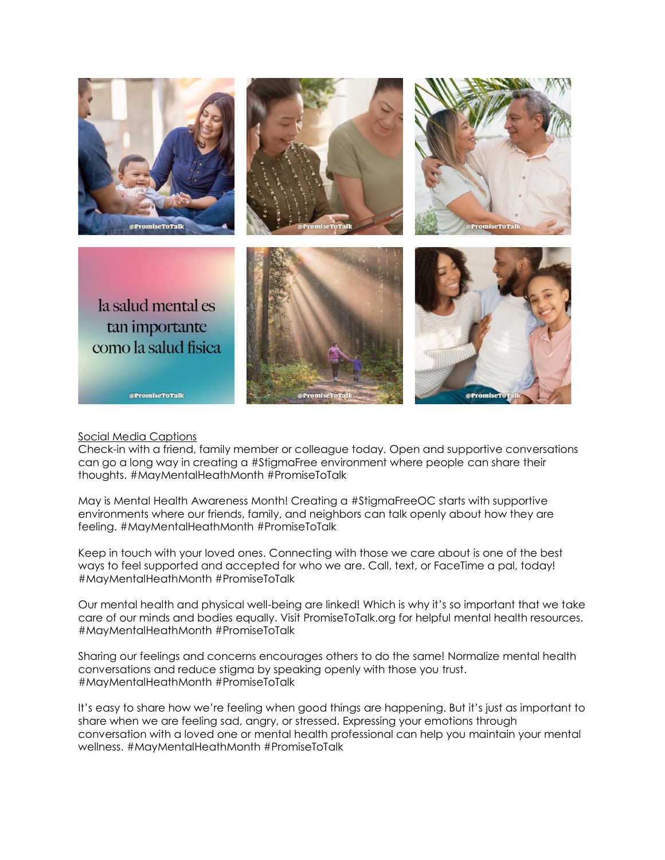

### Social Media Captions

Check-in with a friend, family member or colleague today. Open and supportive conversations can go a long way in creating a #StigmaFree environment where people can share their thoughts. #MayMentalHeathMonth #PromiseToTalk

May is Mental Health Awareness Month! Creating a #StigmaFreeOC starts with supportive environments where our friends, family, and neighbors can talk openly about how they are feeling. #MayMentalHeathMonth #PromiseToTalk

Keep in touch with your loved ones. Connecting with those we care about is one of the best ways to feel supported and accepted for who we are. Call, text, or FaceTime a pal, today! #MayMentalHeathMonth #PromiseToTalk

Our mental health and physical well-being are linked! Which is why it's so important that we take care of our minds and bodies equally. Visit PromiseToTalk.org for helpful mental health resources. #MayMentalHeathMonth #PromiseToTalk

Sharing our feelings and concerns encourages others to do the same! Normalize mental health conversations and reduce stigma by speaking openly with those you trust. #MayMentalHeathMonth #PromiseToTalk

It's easy to share how we're feeling when good things are happening. But it's just as important to share when we are feeling sad, angry, or stressed. Expressing your emotions through conversation with a loved one or mental health professional can help you maintain your mental wellness. #MayMentalHeathMonth #PromiseToTalk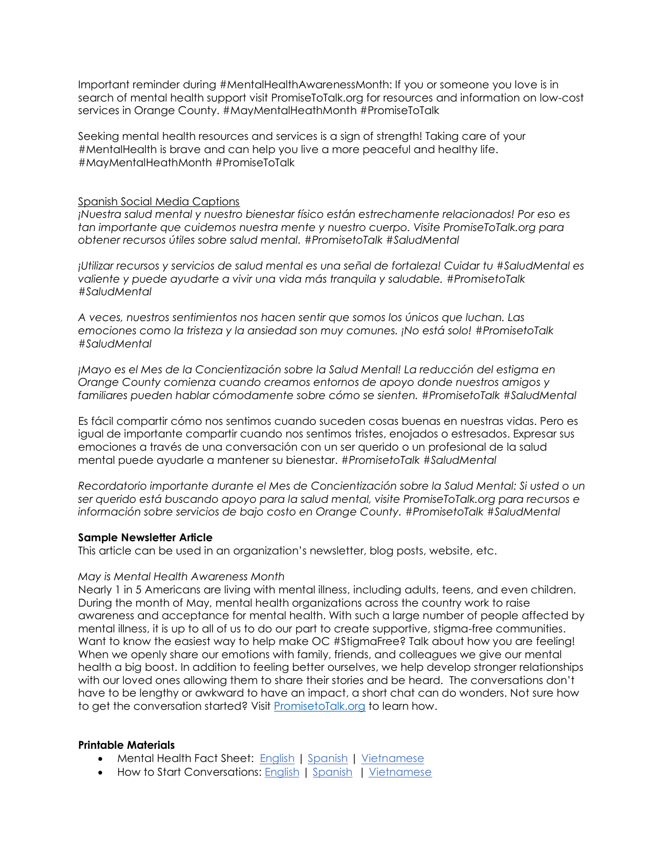Important reminder during #MentalHealthAwarenessMonth: If you or someone you love is in search of mental health support visit PromiseToTalk.org for resources and information on low-cost services in Orange County. #MayMentalHeathMonth #PromiseToTalk

Seeking mental health resources and services is a sign of strength! Taking care of your #MentalHealth is brave and can help you live a more peaceful and healthy life. #MayMentalHeathMonth #PromiseToTalk

#### Spanish Social Media Captions

*¡Nuestra salud mental y nuestro bienestar físico están estrechamente relacionados! Por eso es tan importante que cuidemos nuestra mente y nuestro cuerpo. Visite PromiseToTalk.org para obtener recursos útiles sobre salud mental. #PromisetoTalk #SaludMental*

*¡Utilizar recursos y servicios de salud mental es una señal de fortaleza! Cuidar tu #SaludMental es valiente y puede ayudarte a vivir una vida más tranquila y saludable. #PromisetoTalk #SaludMental*

*A veces, nuestros sentimientos nos hacen sentir que somos los únicos que luchan. Las emociones como la tristeza y la ansiedad son muy comunes. ¡No está solo! #PromisetoTalk #SaludMental*

*¡Mayo es el Mes de la Concientización sobre la Salud Mental! La reducción del estigma en Orange County comienza cuando creamos entornos de apoyo donde nuestros amigos y familiares pueden hablar cómodamente sobre cómo se sienten. #PromisetoTalk #SaludMental*

Es fácil compartir cómo nos sentimos cuando suceden cosas buenas en nuestras vidas. Pero es igual de importante compartir cuando nos sentimos tristes, enojados o estresados. Expresar sus emociones a través de una conversación con un ser querido o un profesional de la salud mental puede ayudarle a mantener su bienestar. *#PromisetoTalk #SaludMental*

*Recordatorio importante durante el Mes de Concientización sobre la Salud Mental: Si usted o un ser querido está buscando apoyo para la salud mental, visite PromiseToTalk.org para recursos e información sobre servicios de bajo costo en Orange County. #PromisetoTalk #SaludMental*

### **Sample Newsletter Article**

This article can be used in an organization's newsletter, blog posts, website, etc.

### *May is Mental Health Awareness Month*

Nearly 1 in 5 Americans are living with mental illness, including adults, teens, and even children. During the month of May, mental health organizations across the country work to raise awareness and acceptance for mental health. With such a large number of people affected by mental illness, it is up to all of us to do our part to create supportive, stigma-free communities. Want to know the easiest way to help make OC #StigmaFree? Talk about how you are feeling! When we openly share our emotions with family, friends, and colleagues we give our mental health a big boost. In addition to feeling better ourselves, we help develop stronger relationships with our loved ones allowing them to share their stories and be heard. The conversations don't have to be lengthy or awkward to have an impact, a short chat can do wonders. Not sure how to get the conversation started? Visit [PromisetoTalk.org](https://www.promisetotalk.org/_files/ugd/dba8ab_5b5a4641dc774ddd8dcba299bc91ab81.pdf) to learn how.

#### **Printable Materials**

- Mental Health Fact Sheet: [English](https://www.promisetotalk.org/_files/ugd/458700_f910d471c7c64836a19ef567b21853ba.pdf) | [Spanish](https://www.promisetotalk.org/_files/ugd/458700_ccd1743523c845dbbe157bec9b0cfb69.pdf) | [Vietnamese](https://www.promisetotalk.org/_files/ugd/dba8ab_69723fb240254ab081ef30da66a98fdf.pdf)
- How to Start Conversations: [English](https://www.promisetotalk.org/_files/ugd/dba8ab_5b5a4641dc774ddd8dcba299bc91ab81.pdf) | [Spanish](https://www.promisetotalk.org/_files/ugd/dba8ab_e758ddb51a694474adf2d6f166478271.pdf) | [Vietnamese](https://www.promisetotalk.org/_files/ugd/dba8ab_b0b1697b9173431988cc2bae5e871ea2.pdf)